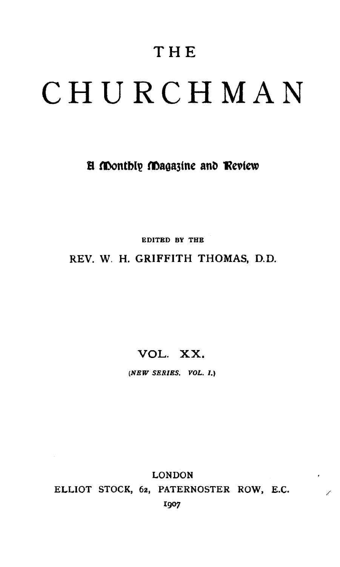# CHURCHMAN

# **H** Monthly Magazine and Review

EDITED BY THE

## REV. W. H. GRIFFITH THOMAS, D.D.

# VOL. XX.

*(NEW SERIES. VOL.* 1.)

LONDON ELLIOT STOCK, 62, PATERNOSTER ROW, E.C. I907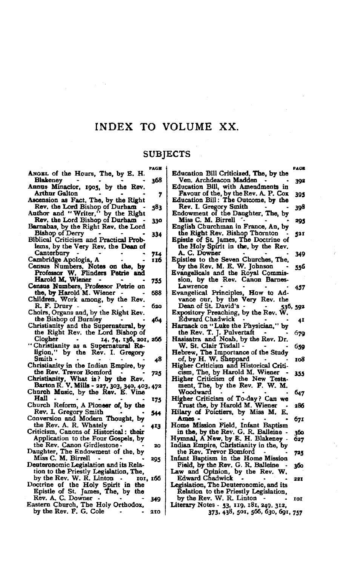# INDEX TO VOLUME XX.

### **SUBJECTS**

|                                                                   | PACE |                                                                             | PACE     |
|-------------------------------------------------------------------|------|-----------------------------------------------------------------------------|----------|
| ANGEL of the Hours, The, by E. H.<br><b>Blakeney</b>              | 368  | Education Bill Criticized, The, by the<br>Ven, Archdeacon Madden            | 392      |
| Annus Minacior, 1905, by the Rev.                                 |      | Education Bill, with Amendments in                                          |          |
| <b>Arthur Galton</b><br>Ascension as Fact, The, by the Right      | 7    | Favour of the, by the Rev. A. P. Cox<br>Education Bill: The Outcome, by the | 395      |
| Rev, the Lord Bishop of Durham                                    | 583  | Rev. I. Gregory Smith                                                       | 398      |
| Author and "Writer," by the Right                                 |      | Endowment of the Daughter, The, by                                          |          |
| Rev, the Lord Bishop of Durham                                    | 330  | Miss C. M. Birrell                                                          | 295      |
| Barnabas, by the Right Rev. the Lord<br>Bishop of Derry           |      | English Churchman in France, An, by<br>the Right Rev. Bishap Thornton       |          |
| Biblical Criticism and Practical Prob-                            | 334  | Epistle of St. James, The Doctrine of                                       | 521      |
| lams, by the Very Rev, the Dean of                                |      | the Holy Spirit in the, by the Rev.                                         |          |
| Canterbury                                                        | 714  | A. C. Downer                                                                | 349      |
| Cambridge Apologia, A                                             | 116  | Epistles to the Seven Churches, The,                                        |          |
| Census Numbers, Notes on the, by                                  |      | by the Rev. M. E. W. Johnson                                                | 556      |
| Professor W. Flinders Petrie and                                  |      | Evangelicals and the Royal Commis-                                          |          |
| Harold M. Wiener                                                  | 755  | sion, by the Rev. Canon Barnes-                                             |          |
| Census Numbers, Professor Petrie on                               |      | Lawrence                                                                    | 457      |
| the, by Harold M. Wiener                                          | 688  | Evangelical Principles, How to Ad-                                          |          |
| Children, Work among, by the Rev.                                 |      | vance our, by the Very Rev. the                                             |          |
| R. F. Drury -                                                     | 620  | Dean of St. David's -                                                       | 536, 592 |
| Choirs, Organs and, by the Right Rev.                             |      | Expository Preaching, by the Rev. W.                                        |          |
| the Bishop of Burnley                                             | 404  | <b>Edward Chadwick</b>                                                      | 41       |
| Christianity and the Supernatural, by                             |      | Harnack on "Luke the Physician," by                                         |          |
| the Right Rev. the Lord Bishop of                                 |      | the Rev. T. J. Pulvertaft                                                   | 679      |
| Clogher<br>14, 74, 136, 201, 206                                  |      | Hasisatra and Noah, by the Rev. Dr.                                         |          |
| "Christianity as a Supernatural Re-                               |      | W. St. Clair Tisdall -                                                      | 659      |
| ligion," by the Rev. I. Gregory                                   |      | Hebrew, The Importance of the Study                                         |          |
| Smith -                                                           | 48   | of, by H. W. Sheppard                                                       | 105      |
| Christianity in the Indian Empire, by                             |      | Higher Criticism and Historical Criti-                                      |          |
| the Rev. Trevor Bomford                                           | 725  | cism, The, by Harold M. Wiener                                              | 355      |
| Christianity, What is? by the Rev.                                |      | Higher Criticism of the New Testa-                                          |          |
| Barton R. V. Mills - 227, 303, 340, 403, 472                      |      | ment, The, by the Rev. F. W. M.                                             |          |
| Church Music, by the Rev. E. Vine                                 |      | Woodward                                                                    | 647      |
| Hall                                                              | 175  | Higher Criticism of To-day? Can we                                          |          |
| Church Reform, A Pioneer of, by the                               |      | Trust the, by Harold M. Wiener                                              | 286      |
| Rev. I. Gregory Smith                                             | 544  | Hilary of Poictiers, by Miss M.<br>E,                                       |          |
| Conversion and Modern Thought, by                                 |      | Ames -                                                                      | 67I      |
| the Rev. A. R. Whately                                            | 4I3  | Home Mission Field, Infant Baptism                                          |          |
| Criticism, Canons of Historical: their                            |      | in the, by the Rev. G. R. Balleine.                                         | 300      |
| Application to the Four Gospels, by                               |      | Hymnal, A New, by E. H. Blakeney.                                           | 627      |
| the Rev. Canon Girdlestone.<br>Daughter, The Endowment of the, by | 20   | Indian Empire, Christianity in the, by                                      |          |
| Miss C. M. Birrell                                                |      | the Rev. Trevor Bomford                                                     | 735      |
| Deuteronomic Legislation and its Rela-                            | 295  | Infant Baptism in the Home Mission<br>Field, by the Rev. G. R. Balleine     |          |
| tion to the Priestly Legislation, The.                            |      | Law and Opinion, by the Rev. W.                                             | 300      |
| by the Rev. W. R. Linton                                          |      | Edward Chadwick                                                             |          |
| IOI, IOO<br>Doctrine of the Holy Spirit in the                    |      | Legislation, The Deuteronomic, and its                                      | 221      |
| Epistle of St. James, The, by the                                 |      | Relation to the Priestly Legislation.                                       |          |
| Rev. A. C. Downer.                                                |      | by the Rev. W. R. Linton                                                    |          |
| Eastern Church, The Holy Orthodox,                                | 349  | Literary Notes - 53, 119, 181, 249, 312,                                    | m        |
| by the Rev. F. G. Cole                                            | 210  | 373, 438, 501, 566, 630, 691, 757                                           |          |
|                                                                   |      |                                                                             |          |